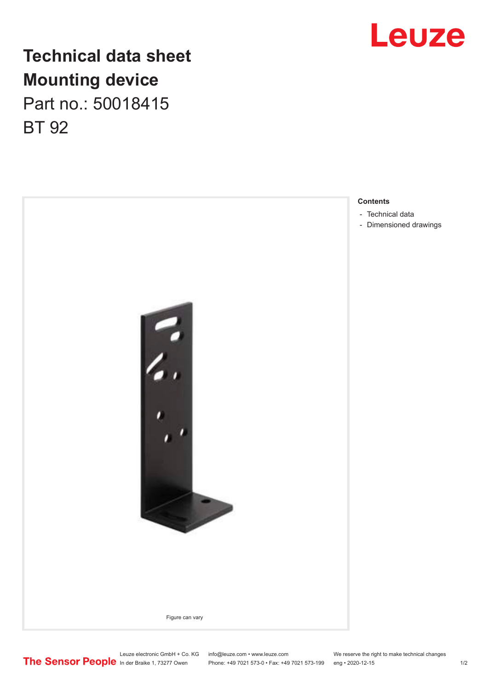

## **Technical data sheet Mounting device** Part no.: 50018415 BT 92



Leuze electronic GmbH + Co. KG info@leuze.com • www.leuze.com We reserve the right to make technical changes<br>
The Sensor People in der Braike 1, 73277 Owen Phone: +49 7021 573-0 • Fax: +49 7021 573-199 eng • 2020-12-15